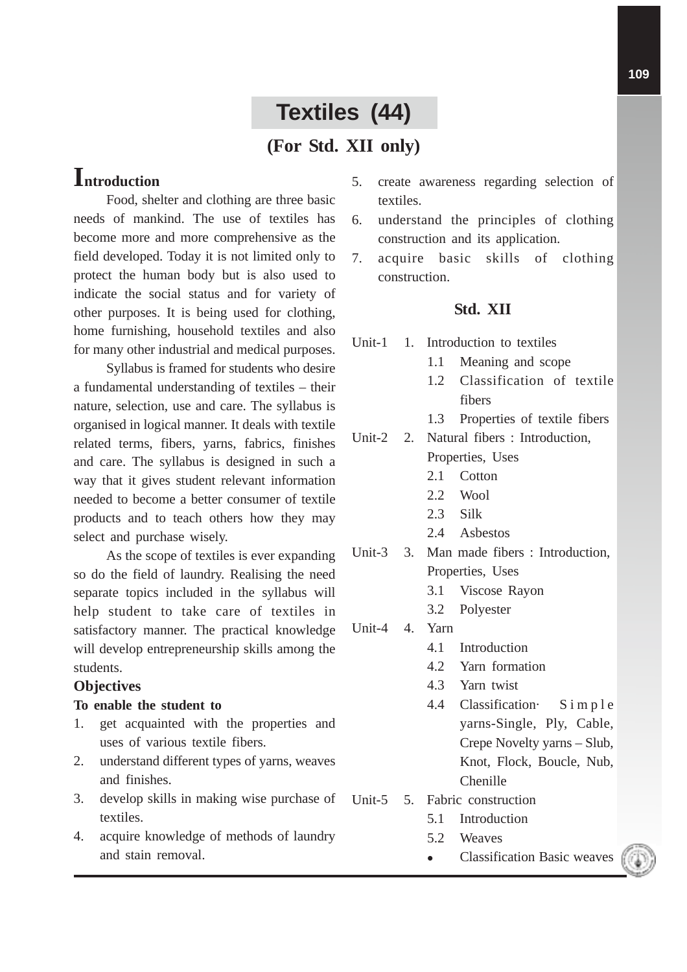# **Textiles (44)**

### **(For Std. XII only)**

## **Introduction**

Food, shelter and clothing are three basic needs of mankind. The use of textiles has become more and more comprehensive as the field developed. Today it is not limited only to protect the human body but is also used to indicate the social status and for variety of other purposes. It is being used for clothing, home furnishing, household textiles and also for many other industrial and medical purposes.

Syllabus is framed for students who desire a fundamental understanding of textiles – their nature, selection, use and care. The syllabus is organised in logical manner. It deals with textile related terms, fibers, yarns, fabrics, finishes and care. The syllabus is designed in such a way that it gives student relevant information needed to become a better consumer of textile products and to teach others how they may select and purchase wisely.

As the scope of textiles is ever expanding so do the field of laundry. Realising the need separate topics included in the syllabus will help student to take care of textiles in satisfactory manner. The practical knowledge will develop entrepreneurship skills among the students.

#### **Objectives**

#### **To enable the student to**

- 1. get acquainted with the properties and uses of various textile fibers.
- 2. understand different types of yarns, weaves and finishes.
- 3. develop skills in making wise purchase of textiles.
- 4. acquire knowledge of methods of laundry and stain removal.
- 5. create awareness regarding selection of textiles.
- 6. understand the principles of clothing construction and its application.
- 7. acquire basic skills of clothing construction.

#### **Std. XII**

- Unit-1 1. Introduction to textiles
	- 1.1 Meaning and scope
	- 1.2 Classification of textile fibers
	- 1.3 Properties of textile fibers
- Unit-2 2. Natural fibers : Introduction, Properties, Uses
	- 2.1 Cotton
	- 2.2 Wool
	- 2.3 Silk
	- 2.4 Asbestos
- Unit-3 3. Man made fibers : Introduction, Properties, Uses
	- 3.1 Viscose Rayon
	- 3.2 Polyester
- Unit-4 4. Yarn
	- 4.1 Introduction
	- 4.2 Yarn formation
	- 4.3 Yarn twist
	- 4.4 Classification· Simple yarns-Single, Ply, Cable, Crepe Novelty yarns – Slub, Knot, Flock, Boucle, Nub, Chenille
- Unit-5 5. Fabric construction
	- 5.1 Introduction
	- 5.2 Weaves
	- Classification Basic weaves